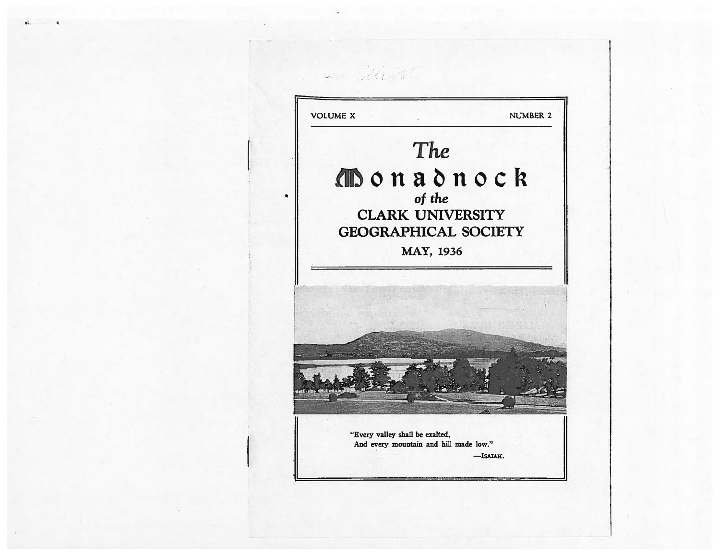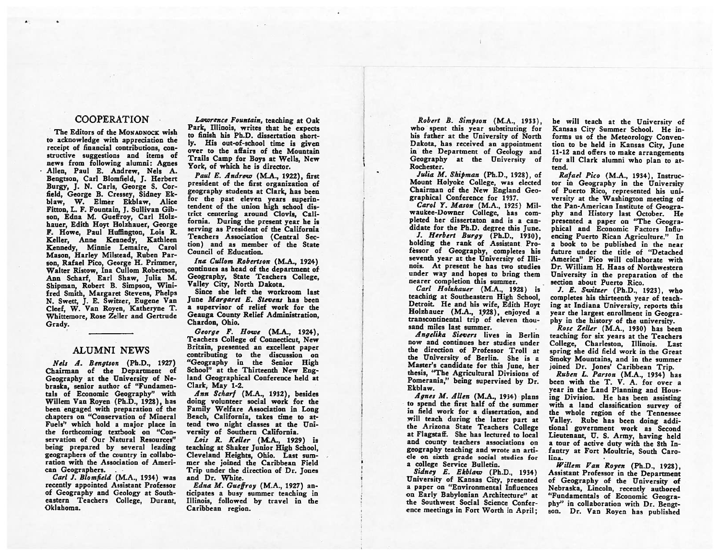### COOPERATION

The Editors of the MONADNOCK wish to acknowledge with appreciation the receipt of financial contributions, con structive suggestions and items of news from following alumni: Agnes Allen, Paul E. Andrew, Nels A. Bengtson, Carl Blomfield, J. Herbert Burgy, J. N. Carls. George S. Corfield, George B. Cressey, Sidney Ek blaw, W. Elmer Ekblaw, Alice Fitton, L. F. Fountain, J. Sullivan Gib son, Edna M. Gueffroy, Carl Holzhauer, Edith Hoyt Holzhauer, George F. Howe, Paul Huffington, Lois R. Keller, Anne Kennedy, Kathleen Kennedy, Minnie Lemaire, Carol Mason, Harley Milstead, Ruben Par son, Rafael Pico, George H. Primmer, Walter Ristow, Ina Cullom Robertson, Ann Scharf, Earl Shaw, Julia M. Shipman, Robert B. Simpson, Wini fred Smith, Margaret Stevens, Phelps N. Swett, J. E. Switzer, Eugene Van Cleef, W. Van Royen, Katheryne T. Whittemore, Rose Zeller and Gertrude Grady.

# ALUMNI NEWS

Nels A. Bengtson (Ph.D., 1927) Chairman of the Department of Geography at the University of Ne braska, senior author of "Fundamen tals of Economic Geography" with Willem Van Royen (Ph.D., 1928), has been engaged with preparation of the chapters on "Conservation of Mineral Fuels" which hold <sup>a</sup> major place in the forthcoming textbook on "Con servation of Our Natural Resources" being prepared by several leading geographers of the country in collabo ration with the Association of Ameri can Geographers.

Carl J. Blomfield (M.A., 1934) was recently appointed Assistant Professor of Geography and Geology at South eastern Teachers College, Durant, Oklahoma.

Lawrence Fountain, teaching at Oak Park, Illinois, writes that he expects to finish his Ph.D. dissertation short ly. His out-of-school time is <sup>g</sup>iven over to the affairs of the Mountain Trails Camp for Boys at Wells, New York, of which he is director.

Paul E. Andrew (M.A., 1922), first president of the first organization of geography students at Clark, has been for the past eleven years superin tendent of the union high school dis trict centering around Clovis, Cali fornia. During the present year he is serving as President of the California Teachers Association (Central Sec tion) and as member of the State Council of Education.

ma Cullom Robertson (M.A., 1924) continues as head of the department of Geography, State Teachers College, Valley City, North Dakota.

Since she left the workroom last June Margaret E. Stevens has been <sup>a</sup> supervisor of relief work for the Geauga County Relief Administration, Chardon, Ohio.

 $George$   $F.$  Howe  $(M.A., 1924)$ . Teachers College of Connecticut, New Britain, presented an excellent paper contributing to the discussion on "Geography in the Senior High School" at the Thirteenth New England Geographical Conference held at Clark, May 1-2.

Ann Scharf (M.A., 1932), besides doing volunteer social work for the Family Welfare Association in Long Beach, California, takes time to at tend two night classes at the Uni versity of Southern California.

Lois R. Keller (M:A., 1929) i teaching at Shaker Junior High School, Cleveland Heights, Ohio. Last sum mer she joined the Caribbean Field Trip under the direction of Dr. Jones and Dr. White.

Edna M. Gueffroy (M.A., 1927) an ticipates <sup>a</sup> busy summer teaching in Illinois, followed by travel in the Caribbean region.

Robert B. Simpson (M.A., 1933), who spent this year substituting for his father at the University of North Dakota, has received an appointment in the Department of Geology and Geography at the University of Rochester.

Julia M. Shipman (Ph.D., 1928), of Mount Holyoke College, was elected Chairman of the New England Geo graphical Conference for 1937.

Carol Y. Mason (M.A., 1925) Mil waukee-Downer College, has com pleted her dissertaton and is <sup>a</sup> can didate for the Ph.D. degree this June.

J. Herbert Burgy (Ph.D., 1930), holding the rank of Assistant Pro féssor of Geography, completes his seventh year at the University of Illi nois. At present he has two studies under way and hopes to bring them nearer completion this summer.

Cart Holzhauer (M.A., 1928) is teaching at Southeastern High School, Detroit. He and his wife, Edith Hoyt Holzhauer (M.A., 1928), enjoyed a transcontinental trip of eleven thou sand miles last summer.

Angelika Sievers lives in Berlin now and continues her studies under the direction of Professor Troll at the University of Berlin. She is <sup>a</sup> Master's candidate for this June, her thesis, "The Agricultural Divisions of Pomerania," being supervised by Dr. Ekblaw.

Agnes M. Allen (M.A., 1934) <sup>p</sup>lans to spend the first half of the summer in field work for <sup>a</sup> dissertation, and will teach during the latter part at the Arizona State Teachers College at Flagstaff. She has lectured to local and county teachers associations on geography teaching and wrote an arti cle on sixth grade social studies for <sup>a</sup> college Service Bulletin.

Sidney E. Ekblaw (Ph.D., 1934) University of Kansas City, presented <sup>a</sup> paper on "Environmental Influences on Early Babylonian Architecture" at the Southwest Social Science Confer ence meetings in Fort Worth in April; he will teach at the University of Kansas City Summer School. He informs us of the Meteorology Conven tion to be held in Kansas City, June 11-12 and offers to make arrangements for all Clark alumni who <sup>p</sup>lan to at tend.

Rafael Pico (M.A., 1934), Instruc tor in Geography in the University of Puerto Rico, represented his uni versity at the Washington meeting of the Pan-American Institute of Geogra <sup>p</sup>hy and History last October. He presented <sup>a</sup> paper on "The Geogra phical and Economic Factors Influ encing Puerto Rican Agriculture." In <sup>a</sup> book to be published in the near future under the title of "Detached America" Pico will collaborate with Dr. William H. Haas of Northwestern University in the preparation of the section about Puerto Rico.

J. E. Switzer (Ph.D., 1923), who completes his thirteenth year of teach ing at Indiana University, reports this year the largest enrollment in Geogra <sup>p</sup>hy in the history of the university.

Rose Zeller (M.A., 1930) has been teaching for six years at the Teachers College, Charleston, Illinois. Last spring she did field work in the Great Smoky Mountains, and in the summer joined Dr. Jones' Caribbean Trip.

Ruben L. Parson (M.A., 1934) has been with the T. V. A. for over <sup>a</sup> year in the Land Planning and Hous ing Division. He has been assisting with <sup>a</sup> land classification survey of the whole region of the Tennessee Valley. Rube has been doing addi tional government work as Second Lieutenant, U. S. Army, having held <sup>a</sup> tour of active duty with the 8th In fantry at Fort Moultrie, South Carolina.

Willem Van Royen (Ph.D., 1928), Assistant Professor in the Department of Geography of the University of Nebraska, Lincoln, recently authored "Fundamentals of Economic Geogra <sup>p</sup>hy" in collaboration with Dr. Bengr son. Dr. Van Royen has published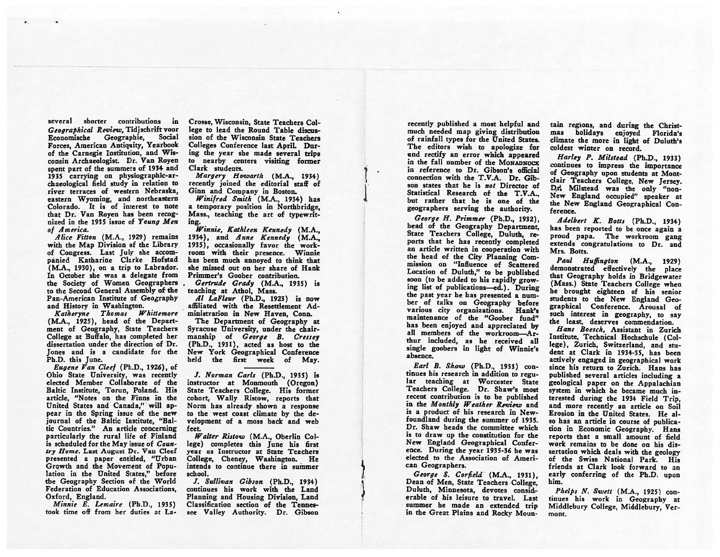several shorter contributions in Geographical Review. Tidischrift voor Economische Geographie, Social Forces, American Antiquity, Yearbook of the Carnegie Institution, and Wis consin Archaeologist. Dr. Van Royen spen<sup>t</sup> par<sup>t</sup> of the summers of <sup>1934</sup> and 1935 carrying on <sup>p</sup>hysiographic-ar chaeological field study in relation to river terraces of western Nebraska, eastern Wyoming, and northeastern Colorado. It is of interest to note that Dr. Van Royen has been recog nized in the 1935 issue of Young Men of America.

Alice Fitton (M.A., 1929) remains with the Map Division of the Library of Congress. Last July she accom <sup>p</sup>ánied Katharine Clarke Hofstad (M.A., 1930), on <sup>a</sup> trip to Labrador. In October she was <sup>a</sup> delegate from the Society of Women Geographers to the Second General Assembly of the Pan-American Institute of Geography and History in Washington.

Katheryne Thomas Whittemore (M.A., 1925), head of the Depart ment of Geography, State Teachers College at Buffalo, has completed her dissertation under the direction of Dr. Jones and is <sup>a</sup> candidate for the Ph.D. this June.

Eugene Van Cleef (Ph.D., 1926), of Ohio State University, was recently elected Member Collaborate of the Baltic Institute, Torun, Poland. His article, "Notes. on the Finns in the United States and Canada," will ap pear in the Spring issue of the new journal of the Baltic Institute, "Bal tic Countries." An article concerning particularly the rural life of Finland is scheduled for the May issue of Coun try Home. Last August Dr. Van Cleef presented <sup>a</sup> paper entitled, "Urban Growth and the Movement of Popu lation in the United States," before the Geography Section of the World Federation of Education Associations, Oxford, England.

Minnie E. Lemaire (Ph.D., 1935) took time off from her duties at LaCrosse, Wisconsin, State Teachers Col lege to lead the Round Table discussion of the Wisconsin State Teachers Colleges Conference last April. Dur ing the year she made several trips to nearby centers visiting former Clark students.

Margery Howarth (M.A., 1934) recently joined the editorial staff of Ginn and Company in Boston.

1'

ابا<br>1

Winifred Smith (M.A., 1934) has <sup>a</sup> temporary position in Northbridge, Mass., teaching the art of typewrit ing.

Winnie, Kathleen Kennedy (M.A., 1934), and Anne Kennedy (M.A., 1935), occasionally favor the work room with their presence. 'Winnie has been much annoyed to think that she missed out on her share of Hank Primmer's Goober contribution.

Gertrude Grady (M.A., 1935) is teaching at Athol, Mass.

Al LaFleur (Ph.D., 1923) is now affiliated with the Resettlement Ad ministration in New Haven, Conn.

The Department of Geography at Syracuse University, under the chair manship of George B. Cressey (Ph.D., 1931), acted as host to the New York Geographical Conference held the first week of May.

J. Norman Carls (Ph.D., 1935) is instructor at Monmouth (Oregon) State Teachers College. His former cohort,. Wally Ristow, reports that Norm has already shown <sup>a</sup> response to the West coast climate by the de velopment of <sup>a</sup> moss back and web feet.

Walter Ristow (M.A., Oberlin Col lege) completes this June his first year as Instructor at State Teachers College, Cheney, Washington. He intends to Continue there in summer school.

J. Sullivan Gibson (Ph.D., 1934) continues his work with the Land Planning and Housing Division, Land Classification section of the Tennes see Valley Authority. Dr. Gibson

recently published <sup>a</sup> most helpful and much needed map <sup>g</sup>iving distribution of rainfall types for the United States. The editors wish to apologize for and rectify an error which appeared in the fall number of the MONADNOCK in reference to Dr. Gibson's official connection with the T.VA. Dr. Gib son states that he is not Director of Statistical Research of the T.V.A., but rather that he is one of the geographers serving the authority.

George H. Primmer (Ph.D., 1932), head of the Geography Department, State Teachers College, Duluth, re ports that he has recently completed an article written in cooperation with the head of the City Planning Com mission on "Influence of Scattered Location of Duluth," to be published soon (to be added to his rapidly grow ing list of publications—ed.). During the pas<sup>t</sup> year he has presented <sup>a</sup> num ber of talks on Geography before various city organizations. Hank's maintenance of the "Goober fund" has been enjoyed and appreciated by all members of the workroom—Ar thur included, as he received all single goobers in light of Winnie's absence.

Earl B. Shaw (Ph.D., 1933) continues his research in addition to regu lar teaching at Worcester State Teachers College. Dr. Shaw's most recent contribution is to be published in the Monthly Weather Review and is <sup>a</sup> product of his research in New foundland during the summer of 1935. Dr. Shaw heads the committee which is to draw up the constitution for the New England Geographical Confer ence. During the year 1935-36 he was elected to the Association of Ameri can Geographers.

 $George S. Corfield (M.A., 1931).$ Dean of Men, State Teachers College, Duluth, Minnesota, devotes considerable of his leisure to travel. Last summer he made an extended trip in the Great Plains and Rocky Moun tain regions, and during the Christ-<br>mas holidays enjoyed Florida's holidays enjoyed Florida's climate the more in light of Duluth's coldest winter on record.

Harley P. Milstead (Ph.D., 1933) continues to impress the importance of Geography upon students at Montclair Teachers College, New Jersey. D.r. Milstead was the only "non-New England occupied" speaker at the New England Geographical Con ference.

Adelbert K. Botts (Ph.D., 1934) has been reported to be once again <sup>a</sup> prou<sup>d</sup> papa. The workroom gang extends congratulations to Dr. and Mrs. Botts.

Paul Huffington (M.A., 1929) demonstrated effectively the <sup>p</sup>lace that Geography holds in Bridgewater (Mass.) State Teachers College when he brought eighteen of his senior students to the New England Geo graphical Conference. Arousal of such interest in geography, to say the least, deserves commendation.

Hans Boesch, Assistant in Zurich Institute, Technical Hochschule (Col lege), Zurich, Switzerland, and stu dent at Clark in 1934-35, has been actively engaged in geographical work since his return to Zurich. Hans has published several articles including <sup>a</sup> geological paper on the Appalachian system in which he became much in terested during the <sup>1934</sup> Field Trip. and more recently an article on Soil Erosion in the United States. He al so has an article in course of publica tion in Economic Geography. Hans reports that <sup>a</sup> small amount of field work remains to be done on his dis sertation which deals with the geology of the Swiss National Park. His friends at Clark look forward to an early conferring of the Ph.D. upon him.

Phelps N. Swett (M.A., 1925) con tinues his work in Geography at Middlebury College, Middlebury, Vermont.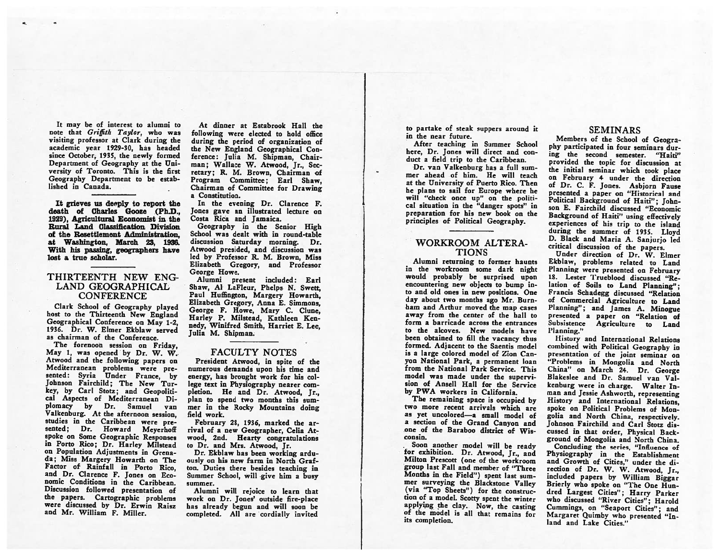It may be of interest to alumni to note that Griffith Taylor, who was visiting professor at Clark during the academic year 1929-30, has headed since October, 1935, the newly formed Department of Geography at the Uni versity of Toronto. This is the first Geography Department to be estab lished in Canada.

It grieves us deeply to report the death of Charles Gooze (Ph.D., 1929), Agricultural Economist in the Rural Land Classification. Division of the Resettlement Administration. at Washington, March 23, 1936. With his passing, geographers have lost <sup>a</sup> true scholar.

## THIRTEENTH NEW ENG LAND GEOGRAPHICAL **CONFERENCE**

Clark School of Geography <sup>p</sup>layed host to the Thirteenth New England Geographical Conference on May 1-2, 1936. Dr. W. Elmer Ekblaw served as chairman of the Conference.

The forenoon session on Friday, May 1, was opened by Dr. W. W. Atwood and the following papers on Mediterranean problems were pre sented: Syria Under France, by Johnson Fairchild; The New Tur key, by Carl Stotz; and Geopoliti cal Aspects of Mediterranean Di <sup>p</sup>lomacy by Dr. Samuel van Valkenburg. At the afternoon session, studies in the Caribbean were pre sented; Dr. Howard Meyerhoff spoke on Some Geographic Responses in Porto Rico; Dr. Harley Milstead on Population Adjustments in Grena da; Miss Margery Howarth on The Factor of Rainfall in Porto Rico, and Dr. Clarence F. Jones on Eco nomic Conditions in the Caribbean. Discussion followed presentation of the papers. Cartographic problems were discussed by Dr. Erwin Raisz and Mr. William F. Miller.

At dinner at Estabrook Hall the following were elected to hold office during the period of organization of the New England Geographical Con ference: Julia M. Shipman, Chair man; Wallace W. Atwood, Ir., Secretary; R. M. Brown, Chairman of Program Committee; Earl Shaw, Chairman of Committee for Drawing <sup>a</sup> Constitution.

In the evening Dr. Clarence F. Jones gave an illustrated lecture on Costa Rica and Jamaica.

Geography in the Senior High School was dealt with in round-table discussion Saturday morning. Dr. Atwood presided, and discussion was led by Professor R. M. Brown, Miss Elizabeth Gregory, and Professor George Howe.

Alumni present included: Earl Shaw, Al LaFleur, Phelps N. Swett, Paul Huffington, Margery Howarth, Elizabeth Gregory, Anna E. Simmons, George F. Howe, Mary C. Clune, Harley P. Milstead, Kathleen Ken nedy, Winifred Smith, Harriet E. Lee, Julia M. Shipman.

#### FACULTY NOTES

President Atwood, in spite of the numerous demands upon his time and energy, has brought work for his col lege text in Physiography nearer com pletion. He and Dr. Atwood, Jr., plan to spend two months this sum mer in the Rocky Mountains doing field work.

February 28, 1936, marked the ar rival of <sup>a</sup> new Geographer, Celia At wood, 2nd. Hearty congratulations to Dr. and Mrs. Atwood, Jr.

Dr. Ekblaw has been working ardu ously on his new farm in North Graf ton. Duties there besides teaching in Summer School, will <sup>g</sup>ive him <sup>a</sup> busy summer.

Alumni will rejoice to learn that work on Dr. Jones' outside fire-place has already begun and will soon be completed. All are cordially invited

to partake of steak suppers around it in the near future.

After teaching in Summer School here, Dr. Jones will direct and con duct <sup>a</sup> field trip to the Caribbean.

Dr. van Valkenburg has <sup>a</sup> full sum mer ahead of him. He will teach at the University of Puerto Rico. Then he plans to sail for Europe where he will "check once up" on the political situation in the "danger spots" in preparation for his new book on the principles of Political Geography.

### WORKROOM ALTERA TIONS

Alumni returning to former haunts in the workroom some dark night would probably be surprised upon encountering new objects to bump in to and old ones in new positions. One day about two months ago Mr. Burnham and Arthur moved the map cases away from the center of the hall to form <sup>a</sup> barricade across the entrances to the alcoves. New models have been obtained to fill the vacancy thus formed. Adjacent to the Saentis model is <sup>a</sup> large colored model of Zion Can yon National Park, <sup>a</sup> permanent loan from the National Park Service. This model was made under the supervi sion of Ansell Hall for the Service by PWA workers in California.

The remaining space is occupied by two more recent arrivals which are as yet uncolored—a small model of <sup>a</sup> section of the Grand Canyon and one of the Baraboo district of Wis consin.

Soon another model will be ready for exhibition. Dr. Atwood, Jr., and Milton Prescott (one of the workroom group last Fall and member of "Three Months in the Field") spent last sum mer surveying the Blackstone Valley (via "Top Sheets") for the construc tion of <sup>a</sup> model. Scotty spent the winter applying the clay. Now, the casting of the model is all that remains for its completion.

## SEMINARS

Members of the School of Geogra phy participated in four seminars dur ing the second semester. "Haiti" provided the topic for discussion at the initial seminar which took <sup>p</sup>lace on February 4 under the direction of Dr. C. F. Jones. Asbjorn Fause presented <sup>a</sup> paper on "Historical and Political Background of Haiti": Johnson E. Fairchild discussed "Economic Background of Haiti" using effectively experiences of his trip to the island during the summer of 1935. Lloyd D. Black and Maria A. Sanjurjo led

Under direction of Dr. W. Elmer Ekblaw, problems related to Land Planning were presented on February 18. Lester Trueblood discussed "Relation of Soils to Land Planning": Francis Schadegg discussed "Relation of Commercial Agriculture to Land Planning"; and James A. Minogue presented <sup>a</sup> paper on "Relation of Subsistence Agriculture to Land l'lanning."

History and International Relations combined with Political Geography in presentation of the joint seminar on "Problems in Mongolia and North China" on March 24. Dr. George Blakeslee and Dr. Samuel van Val kenburg were in charge. Walter In man and Jessie Ashworth, representing History and International Relations, spoke on Political Problems of Mon golia and North China, respectively. Johnson Fairchild and Carl Stotz dis cussed in that order, Physical Back ground of Mongolia and North China.

Concluding the series, "Influence of Physiography in the Establishment and Growth of Cities," under the di rection of Dr. W. W. Atwood, Jr., included papers by William Biggar Brierly who spoke on "The One Hun dred Largest Cities"; Harry Parker who discussed "River Cities"; Harold Cummings, on "Seaport Cities"; and Margaret Quimby who presented "In land and Lake Cities."